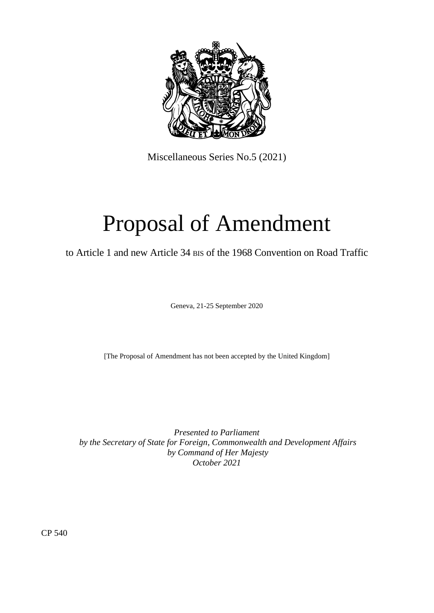

Miscellaneous Series No.5 (2021)

# Proposal of Amendment

to Article 1 and new Article 34 BIS of the 1968 Convention on Road Traffic

Geneva, 21-25 September 2020

[The Proposal of Amendment has not been accepted by the United Kingdom]

*Presented to Parliament by the Secretary of State for Foreign, Commonwealth and Development Affairs by Command of Her Majesty October 2021*

CP 540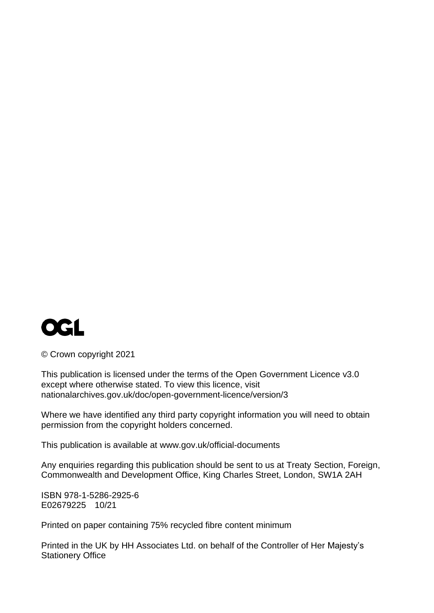

© Crown copyright 2021

This publication is licensed under the terms of the Open Government Licence v3.0 except where otherwise stated. To view this licence, visit [nationalarchives.gov.uk/doc/open-government-licence/version/3](http://www.nationalarchives.gov.uk/doc/open-government-licence/version/3)

Where we have identified any third party copyright information you will need to obtain permission from the copyright holders concerned.

This publication is available at [www.gov.uk/official-documents](http://www.gov.uk/official-documents)

Any enquiries regarding this publication should be sent to us at Treaty Section, Foreign, Commonwealth and Development Office, King Charles Street, London, SW1A 2AH

ISBN 978-1-5286-2925-6 E02679225 10/21

Printed on paper containing 75% recycled fibre content minimum

Printed in the UK by HH Associates Ltd. on behalf of the Controller of Her Majesty's Stationery Office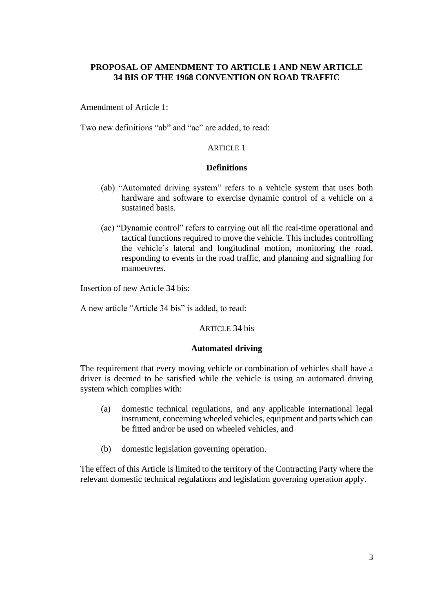## **PROPOSAL OF AMENDMENT TO ARTICLE 1 AND NEW ARTICLE 34 BIS OF THE 1968 CONVENTION ON ROAD TRAFFIC**

Amendment of Article 1:

Two new definitions "ab" and "ac" are added, to read:

### ARTICLE 1

#### **Definitions**

- (ab) "Automated driving system" refers to a vehicle system that uses both hardware and software to exercise dynamic control of a vehicle on a sustained basis.
- (ac) "Dynamic control" refers to carrying out all the real-time operational and tactical functions required to move the vehicle. This includes controlling the vehicle's lateral and longitudinal motion, monitoring the road, responding to events in the road traffic, and planning and signalling for manoeuvres.

Insertion of new Article 34 bis:

A new article "Article 34 bis" is added, to read:

#### ARTICLE 34 bis

#### **Automated driving**

The requirement that every moving vehicle or combination of vehicles shall have a driver is deemed to be satisfied while the vehicle is using an automated driving system which complies with:

- (a) domestic technical regulations, and any applicable international legal instrument, concerning wheeled vehicles, equipment and parts which can be fitted and/or be used on wheeled vehicles, and
- (b) domestic legislation governing operation.

The effect of this Article is limited to the territory of the Contracting Party where the relevant domestic technical regulations and legislation governing operation apply.